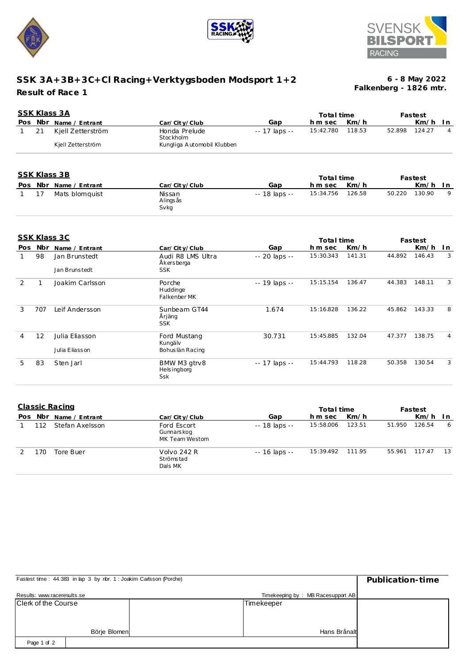





## **SSK 3A+3B+3C+Cl Racing+Verktygsboden Modsport 1+2 Result of Race 1**

**Falkenberg - 1826 mtr. 6 - 8 May 2022**

| SSK Klass 3A<br>Total time |    |                        |                            |               |           |        |        | Fastest |      |
|----------------------------|----|------------------------|----------------------------|---------------|-----------|--------|--------|---------|------|
|                            |    | Pos Nbr Name / Entrant | Car/City/Club              | Gap           | h m sec   | Km/h   |        | Km/h    | -I n |
|                            | 21 | Kjell Zetterström      | Honda Prelude<br>Stockholm | -- 17 laps -- | 15:42.780 | 118.53 | 52.898 | 124.27  |      |
|                            |    | Kjell Zetterström      | Kungliga Automobil Klubben |               |           |        |        |         |      |

| <u>שט ככשות תוכט</u> |  |                        |                             |               | Total time       |      | Fastest |           |   |
|----------------------|--|------------------------|-----------------------------|---------------|------------------|------|---------|-----------|---|
|                      |  | Pos Nbr Name / Entrant | Car/City/Club               | Gap           | hm sec           | Km/h |         | $Km/h$ In |   |
|                      |  | Mats blomquist         | Nissan<br>Alings ås<br>Svkg | -- 18 laps -- | 15:34.756 126.58 |      | 50.220  | 130.90    | 9 |

|               |     | <b>SSK Klass 3C</b> |                                           |                     | Total time |        |        | Fastest |     |
|---------------|-----|---------------------|-------------------------------------------|---------------------|------------|--------|--------|---------|-----|
| Pos           | Nbr | Name / Entrant      | Car/City/Club                             | Gap                 | h m sec    | Km/h   |        | Km/h    | In. |
|               | 98  | Jan Brunstedt       | Audi R8 LMS Ultra<br>Åkersberga           | -- 20 laps --       | 15:30.343  | 141.31 | 44.892 | 146.43  | 3   |
|               |     | Jan Brunstedt       | <b>SSK</b>                                |                     |            |        |        |         |     |
| $\mathcal{P}$ | 1   | Joakim Carlsson     | Porche<br>Huddinge<br>Falkenber MK        | -- 19 laps --       | 15:15.154  | 136.47 | 44.383 | 148.11  | 3   |
| 3             | 707 | Leif Andersson      | Sunbeam GT44<br>Årjäng<br><b>SSK</b>      | 1.674               | 15:16.828  | 136.22 | 45.862 | 143.33  | 8   |
| 4             | 12  | Julia Eliasson      | Ford Mustang<br>Kungälv                   | 30.731              | 15:45.885  | 132.04 | 47.377 | 138.75  | 4   |
|               |     | Julia Eliasson      | Bohuslän Racing                           |                     |            |        |        |         |     |
| 5             | 83  | Sten Jarl           | BMW M3 gtrv8<br><b>Helsingborg</b><br>Ssk | $- - 17$ laps $- -$ | 15:44.793  | 118.28 | 50.358 | 130.54  | 3   |

| Classic Racing |    |                    |                                              |                | Total time |        | Fastest |        |      |
|----------------|----|--------------------|----------------------------------------------|----------------|------------|--------|---------|--------|------|
| Pos            |    | Nbr Name / Entrant | Car/City/Club                                | Gap            | h m sec    | Km/h   |         | Km/h   | - In |
|                | 12 | Stefan Axelsson    | Ford Escort<br>Gunnars kog<br>MK Team Westom | $-18$ laps $-$ | 15:58.006  | 123.51 | 51.950  | 126.54 | 6    |
|                | 70 | Tore Buer          | Volvo 242 R<br>Strömstad<br>Dals MK          | -- 16 laps --  | 15:39.492  | 111.95 | 55.961  | 117.47 | 13   |

| Fastest time: 44.383 in lap 3 by rbr. 1: Joakim Carlsson (Porche) | Publication-time |                                   |  |
|-------------------------------------------------------------------|------------------|-----------------------------------|--|
| Results: www.raceresults.se                                       |                  | Timekeeping by: MB Racesupport AB |  |
| Clerk of the Course                                               |                  | Timekeeper                        |  |
|                                                                   |                  |                                   |  |
|                                                                   |                  |                                   |  |
|                                                                   | Börje Blomen     | Hans Brånalt                      |  |
| Page 1 of 2                                                       |                  |                                   |  |